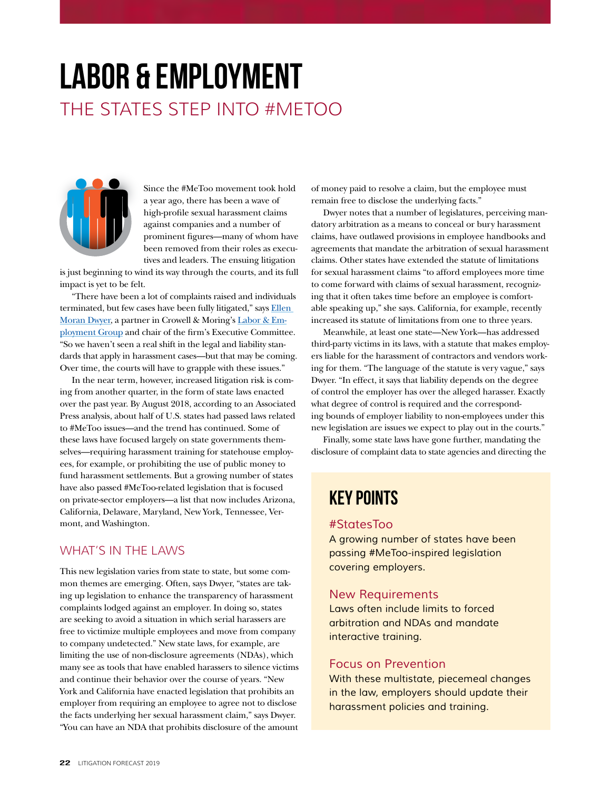# Labor & Employment THE STATES STEP INTO #METOO



Since the #MeToo movement took hold a year ago, there has been a wave of high-profile sexual harassment claims against companies and a number of prominent figures—many of whom have been removed from their roles as executives and leaders. The ensuing litigation

is just beginning to wind its way through the courts, and its full impact is yet to be felt.

"There have been a lot of complaints raised and individuals terminated, but few cases have been fully litigated," says **Ellen** [Moran Dwyer,](https://www.crowell.com/Professionals/Ellen-Dwyer) a partner in Crowell & Moring's [Labor & Em](https://www.crowell.com/Practices/Labor-Employment)[ployment Group](https://www.crowell.com/Practices/Labor-Employment) and chair of the firm's Executive Committee. "So we haven't seen a real shift in the legal and liability standards that apply in harassment cases—but that may be coming. Over time, the courts will have to grapple with these issues."

In the near term, however, increased litigation risk is coming from another quarter, in the form of state laws enacted over the past year. By August 2018, according to an Associated Press analysis, about half of U.S. states had passed laws related to #MeToo issues—and the trend has continued. Some of these laws have focused largely on state governments themselves—requiring harassment training for statehouse employees, for example, or prohibiting the use of public money to fund harassment settlements. But a growing number of states have also passed #MeToo-related legislation that is focused on private-sector employers—a list that now includes Arizona, California, Delaware, Maryland, New York, Tennessee, Vermont, and Washington.

#### WHAT'S IN THE LAWS

This new legislation varies from state to state, but some common themes are emerging. Often, says Dwyer, "states are taking up legislation to enhance the transparency of harassment complaints lodged against an employer. In doing so, states are seeking to avoid a situation in which serial harassers are free to victimize multiple employees and move from company to company undetected." New state laws, for example, are limiting the use of non-disclosure agreements (NDAs), which many see as tools that have enabled harassers to silence victims and continue their behavior over the course of years. "New York and California have enacted legislation that prohibits an employer from requiring an employee to agree not to disclose the facts underlying her sexual harassment claim," says Dwyer. "You can have an NDA that prohibits disclosure of the amount

of money paid to resolve a claim, but the employee must remain free to disclose the underlying facts."

Dwyer notes that a number of legislatures, perceiving mandatory arbitration as a means to conceal or bury harassment claims, have outlawed provisions in employee handbooks and agreements that mandate the arbitration of sexual harassment claims. Other states have extended the statute of limitations for sexual harassment claims "to afford employees more time to come forward with claims of sexual harassment, recognizing that it often takes time before an employee is comfortable speaking up," she says. California, for example, recently increased its statute of limitations from one to three years.

Meanwhile, at least one state—New York—has addressed third-party victims in its laws, with a statute that makes employers liable for the harassment of contractors and vendors working for them. "The language of the statute is very vague," says Dwyer. "In effect, it says that liability depends on the degree of control the employer has over the alleged harasser. Exactly what degree of control is required and the corresponding bounds of employer liability to non-employees under this new legislation are issues we expect to play out in the courts."

Finally, some state laws have gone further, mandating the disclosure of complaint data to state agencies and directing the

# Key Points

#### *#StatesToo*

*A growing number of states have been passing #MeToo-inspired legislation covering employers.*

#### *New Requirements*

*Laws often include limits to forced arbitration and NDAs and mandate interactive training.* 

#### *Focus on Prevention*

*With these multistate, piecemeal changes in the law, employers should update their harassment policies and training.*